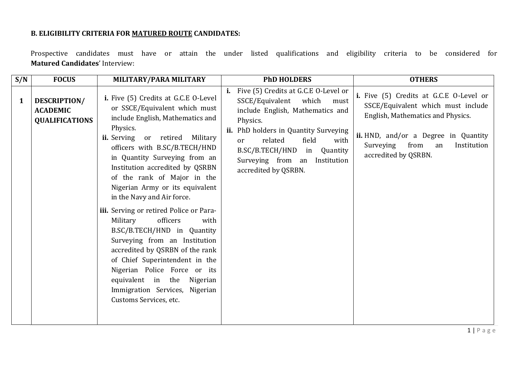## **B. ELIGIBILITY CRITERIA FOR MATURED ROUTE CANDIDATES:**

Prospective candidates must have or attain the under listed qualifications and eligibility criteria to be considered for **Matured Candidates**' Interview:

| S/N          | <b>FOCUS</b>                                             | MILITARY/PARA MILITARY                                                                                                                                                                                                                                                                                                                                                                                                                                                                                                                                                                                                                                                                                        | <b>PhD HOLDERS</b>                                                                                                                                                                                                                                                                            | <b>OTHERS</b>                                                                                                                                                                                                                |
|--------------|----------------------------------------------------------|---------------------------------------------------------------------------------------------------------------------------------------------------------------------------------------------------------------------------------------------------------------------------------------------------------------------------------------------------------------------------------------------------------------------------------------------------------------------------------------------------------------------------------------------------------------------------------------------------------------------------------------------------------------------------------------------------------------|-----------------------------------------------------------------------------------------------------------------------------------------------------------------------------------------------------------------------------------------------------------------------------------------------|------------------------------------------------------------------------------------------------------------------------------------------------------------------------------------------------------------------------------|
| $\mathbf{1}$ | DESCRIPTION/<br><b>ACADEMIC</b><br><b>QUALIFICATIONS</b> | i. Five (5) Credits at G.C.E O-Level<br>or SSCE/Equivalent which must<br>include English, Mathematics and<br>Physics.<br>ii. Serving or retired<br>Military<br>officers with B.SC/B.TECH/HND<br>in Quantity Surveying from an<br>Institution accredited by QSRBN<br>of the rank of Major in the<br>Nigerian Army or its equivalent<br>in the Navy and Air force.<br>iii. Serving or retired Police or Para-<br>officers<br>Military<br>with<br>B.SC/B.TECH/HND in Quantity<br>Surveying from an Institution<br>accredited by QSRBN of the rank<br>of Chief Superintendent in the<br>Nigerian Police Force or its<br>equivalent in the<br>Nigerian<br>Immigration Services, Nigerian<br>Customs Services, etc. | Five (5) Credits at G.C.E O-Level or<br>i.<br>SSCE/Equivalent<br>which<br>must<br>include English, Mathematics and<br>Physics.<br>PhD holders in Quantity Surveying<br>related<br>field<br>with<br>or<br>B.SC/B.TECH/HND in Quantity<br>Surveying from an Institution<br>accredited by QSRBN. | i. Five (5) Credits at G.C.E O-Level or<br>SSCE/Equivalent which must include<br>English, Mathematics and Physics.<br>ii. HND, and/or a Degree in Quantity<br>Surveying<br>from<br>Institution<br>an<br>accredited by QSRBN. |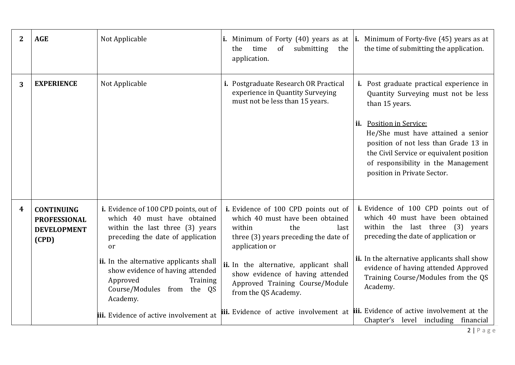| $\mathbf{2}$ | <b>AGE</b>                                                              | Not Applicable                                                                                                                                                                                                                                                                                                                                | of<br>submitting<br>the<br>the<br>time<br>application.                                                                                                                                                                                                                                                 | <b>i.</b> Minimum of Forty (40) years as at <b>i.</b> Minimum of Forty-five (45) years as at<br>the time of submitting the application.                                                                                                                                                                                                                                                                                           |
|--------------|-------------------------------------------------------------------------|-----------------------------------------------------------------------------------------------------------------------------------------------------------------------------------------------------------------------------------------------------------------------------------------------------------------------------------------------|--------------------------------------------------------------------------------------------------------------------------------------------------------------------------------------------------------------------------------------------------------------------------------------------------------|-----------------------------------------------------------------------------------------------------------------------------------------------------------------------------------------------------------------------------------------------------------------------------------------------------------------------------------------------------------------------------------------------------------------------------------|
| 3            | <b>EXPERIENCE</b>                                                       | Not Applicable                                                                                                                                                                                                                                                                                                                                | i. Postgraduate Research OR Practical<br>experience in Quantity Surveying<br>must not be less than 15 years.                                                                                                                                                                                           | i. Post graduate practical experience in<br>Quantity Surveying must not be less<br>than 15 years.<br>ii. Position in Service:<br>He/She must have attained a senior<br>position of not less than Grade 13 in<br>the Civil Service or equivalent position<br>of responsibility in the Management<br>position in Private Sector.                                                                                                    |
| 4            | <b>CONTINUING</b><br><b>PROFESSIONAL</b><br><b>DEVELOPMENT</b><br>(CPD) | i. Evidence of 100 CPD points, out of<br>which 40 must have obtained<br>within the last three (3) years<br>preceding the date of application<br>or<br>ii. In the alternative applicants shall<br>show evidence of having attended<br>Approved<br>Training<br>Course/Modules from the QS<br>Academy.<br>iii. Evidence of active involvement at | i. Evidence of 100 CPD points out of<br>which 40 must have been obtained<br>the<br>within<br>last<br>three (3) years preceding the date of<br>application or<br>ii. In the alternative, applicant shall<br>show evidence of having attended<br>Approved Training Course/Module<br>from the QS Academy. | i. Evidence of 100 CPD points out of<br>which 40 must have been obtained<br>within the last three (3) years<br>preceding the date of application or<br>ii. In the alternative applicants shall show<br>evidence of having attended Approved<br>Training Course/Modules from the QS<br>Academy.<br>iii. Evidence of active involvement at <b>iii.</b> Evidence of active involvement at the<br>Chapter's level including financial |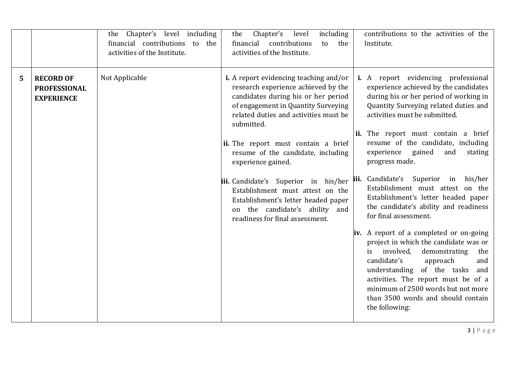|   |                                                              | Chapter's level including<br>the<br>financial contributions to the<br>activities of the Institute. | including<br>Chapter's<br>level<br>the<br>financial<br>contributions<br>the<br>to<br>activities of the Institute.                                                                                                                                                                                                                                                                                                                                                     | contributions to the activities of the<br>Institute.                                                                                                                                                                                                                                                                                                                                                                                                                                                                                                                                                                                                                                                                                                                                                                                                                                                                  |
|---|--------------------------------------------------------------|----------------------------------------------------------------------------------------------------|-----------------------------------------------------------------------------------------------------------------------------------------------------------------------------------------------------------------------------------------------------------------------------------------------------------------------------------------------------------------------------------------------------------------------------------------------------------------------|-----------------------------------------------------------------------------------------------------------------------------------------------------------------------------------------------------------------------------------------------------------------------------------------------------------------------------------------------------------------------------------------------------------------------------------------------------------------------------------------------------------------------------------------------------------------------------------------------------------------------------------------------------------------------------------------------------------------------------------------------------------------------------------------------------------------------------------------------------------------------------------------------------------------------|
| 5 | <b>RECORD OF</b><br><b>PROFESSIONAL</b><br><b>EXPERIENCE</b> | Not Applicable                                                                                     | i. A report evidencing teaching and/or<br>research experience achieved by the<br>candidates during his or her period<br>of engagement in Quantity Surveying<br>related duties and activities must be<br>submitted.<br>ii. The report must contain a brief<br>resume of the candidate, including<br>experience gained.<br>Establishment must attest on the<br>Establishment's letter headed paper<br>on the candidate's ability and<br>readiness for final assessment. | i. A report evidencing professional<br>experience achieved by the candidates<br>during his or her period of working in<br>Quantity Surveying related duties and<br>activities must be submitted.<br>ii. The report must contain a brief<br>resume of the candidate, including<br>experience<br>gained<br>and<br>stating<br>progress made.<br>iii. Candidate's Superior in his/her iii. Candidate's Superior in his/her<br>Establishment must attest on the<br>Establishment's letter headed paper<br>the candidate's ability and readiness<br>for final assessment.<br><b>iv.</b> A report of a completed or on-going<br>project in which the candidate was or<br>involved,<br>demonstrating<br>is<br>the<br>candidate's<br>approach<br>and<br>understanding of the tasks<br>and<br>activities. The report must be of a<br>minimum of 2500 words but not more<br>than 3500 words and should contain<br>the following: |